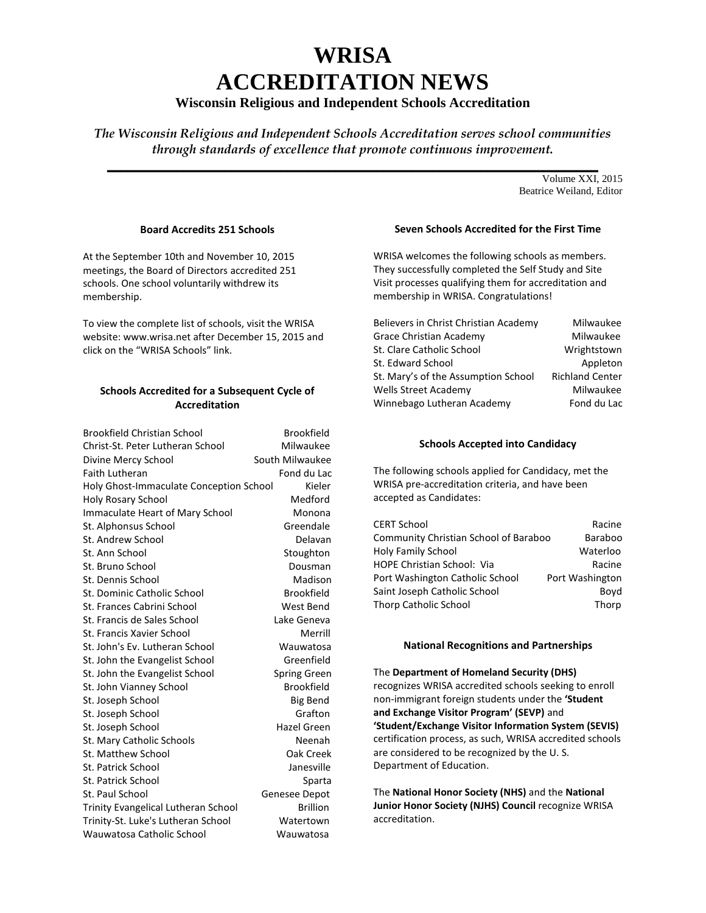# **WRISA ACCREDITATION NEWS**

# **Wisconsin Religious and Independent Schools Accreditation**

*The Wisconsin Religious and Independent Schools Accreditation serves school communities through standards of excellence that promote continuous improvement.* 

 $\mathcal{L} = \{ \mathcal{L} \mid \mathcal{L} \in \mathcal{L} \}$ Volume XXI, 2015 Beatrice Weiland, Editor

## **Board Accredits 251 Schools**

At the September 10th and November 10, 2015 meetings, the Board of Directors accredited 251 schools. One school voluntarily withdrew its membership.

To view the complete list of schools, visit the WRISA website: [www.wrisa.net](http://www.wrisa.net/) after December 15, 2015 and click on the "WRISA Schools" link.

## **Schools Accredited for a Subsequent Cycle of Accreditation**

| <b>Brookfield Christian School</b>      | <b>Brookfield</b>   |
|-----------------------------------------|---------------------|
| Christ-St. Peter Lutheran School        | Milwaukee           |
| Divine Mercy School                     | South Milwaukee     |
| <b>Faith Lutheran</b>                   | Fond du Lac         |
| Holy Ghost-Immaculate Conception School | Kieler              |
| <b>Holy Rosary School</b>               | Medford             |
| <b>Immaculate Heart of Mary School</b>  | Monona              |
| St. Alphonsus School                    | Greendale           |
| St. Andrew School                       | Delavan             |
| St. Ann School                          | Stoughton           |
| St. Bruno School                        | Dousman             |
| St. Dennis School                       | Madison             |
| St. Dominic Catholic School             | <b>Brookfield</b>   |
| St. Frances Cabrini School              | West Bend           |
| St. Francis de Sales School             | Lake Geneva         |
| St. Francis Xavier School               | Merrill             |
| St. John's Ev. Lutheran School          | Wauwatosa           |
| St. John the Evangelist School          | Greenfield          |
| St. John the Evangelist School          | <b>Spring Green</b> |
| St. John Vianney School                 | <b>Brookfield</b>   |
| St. Joseph School                       | Big Bend            |
| St. Joseph School                       | Grafton             |
| St. Joseph School                       | Hazel Green         |
| St. Mary Catholic Schools               | Neenah              |
| St. Matthew School                      | Oak Creek           |
| St. Patrick School                      | Janesville          |
| St. Patrick School                      | Sparta              |
| St. Paul School                         | Genesee Depot       |
| Trinity Evangelical Lutheran School     | <b>Brillion</b>     |
| Trinity-St. Luke's Lutheran School      | Watertown           |
| Wauwatosa Catholic School               | Wauwatosa           |
|                                         |                     |

# **Seven Schools Accredited for the First Time**

WRISA welcomes the following schools as members. They successfully completed the Self Study and Site Visit processes qualifying them for accreditation and membership in WRISA. Congratulations!

| Believers in Christ Christian Academy | Milwaukee              |
|---------------------------------------|------------------------|
| <b>Grace Christian Academy</b>        | Milwaukee              |
| St. Clare Catholic School             | Wrightstown            |
| St. Edward School                     | Appleton               |
| St. Mary's of the Assumption School   | <b>Richland Center</b> |
| Wells Street Academy                  | Milwaukee              |
| Winnebago Lutheran Academy            | Fond du Lac            |
|                                       |                        |

#### **Schools Accepted into Candidacy**

The following schools applied for Candidacy, met the WRISA pre-accreditation criteria, and have been accepted as Candidates:

| <b>CERT School</b>                    | Racine          |
|---------------------------------------|-----------------|
| Community Christian School of Baraboo | Baraboo         |
| <b>Holy Family School</b>             | Waterloo        |
| <b>HOPE Christian School: Via</b>     | Racine          |
| Port Washington Catholic School       | Port Washington |
| Saint Joseph Catholic School          | Boyd            |
| Thorp Catholic School                 | Thorp           |

#### **National Recognitions and Partnerships**

The **Department of Homeland Security (DHS)** recognizes WRISA accredited schools seeking to enroll non-immigrant foreign students under the **'Student and Exchange Visitor Program' (SEVP)** and **'Student/Exchange Visitor Information System (SEVIS)**  certification process, as such, WRISA accredited schools are considered to be recognized by the U. S. Department of Education.

The **National Honor Society (NHS)** and the **National Junior Honor Society (NJHS) Council** recognize WRISA accreditation.